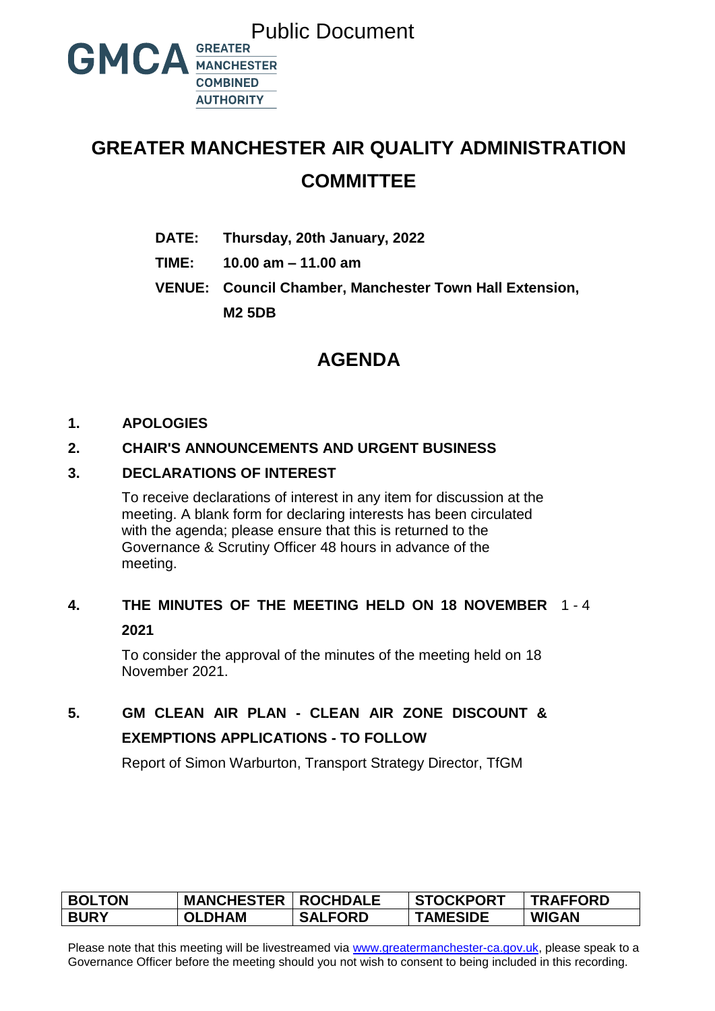

# **GREATER MANCHESTER AIR QUALITY ADMINISTRATION COMMITTEE**

- **DATE: Thursday, 20th January, 2022**
- **TIME: 10.00 am – 11.00 am**
- **VENUE: Council Chamber, Manchester Town Hall Extension, M2 5DB**

# **AGENDA**

#### **1. APOLOGIES**

#### **2. CHAIR'S ANNOUNCEMENTS AND URGENT BUSINESS**

#### **3. DECLARATIONS OF INTEREST**

To receive declarations of interest in any item for discussion at the meeting. A blank form for declaring interests has been circulated with the agenda; please ensure that this is returned to the Governance & Scrutiny Officer 48 hours in advance of the meeting.

## **4. THE MINUTES OF THE MEETING HELD ON 18 NOVEMBER** 1 - 4 **2021**

To consider the approval of the minutes of the meeting held on 18 November 2021.

# **5. GM CLEAN AIR PLAN - CLEAN AIR ZONE DISCOUNT & EXEMPTIONS APPLICATIONS - TO FOLLOW**

Report of Simon Warburton, Transport Strategy Director, TfGM

| <b>BOLTON</b> | <b>MANCHESTER</b> | <b>ROCHDALE</b> | <b>STOCKPORT</b> | <b>TRAFFORD</b> |
|---------------|-------------------|-----------------|------------------|-----------------|
| <b>BURY</b>   | <b>OLDHAM</b>     | <b>SALFORD</b>  | <b>TAMESIDE</b>  | <b>WIGAN</b>    |

Please note that this meeting will be livestreamed via [www.greatermanchester-ca.gov.uk,](http://www.greatermanchester-ca.gov.uk/) please speak to a Governance Officer before the meeting should you not wish to consent to being included in this recording.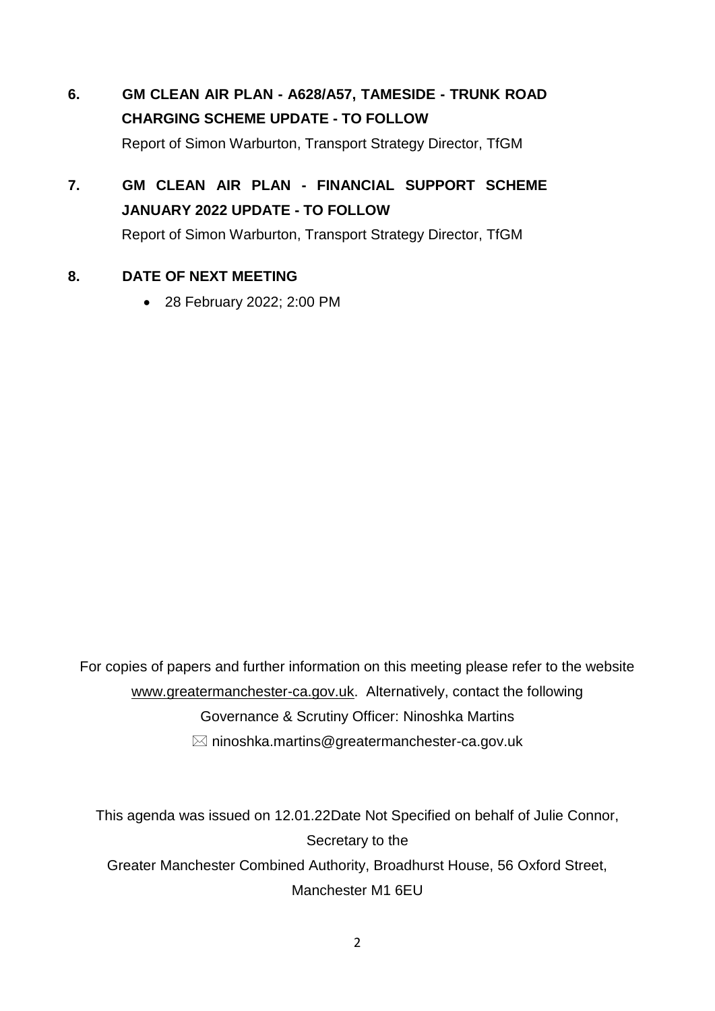- **6. GM CLEAN AIR PLAN - A628/A57, TAMESIDE - TRUNK ROAD CHARGING SCHEME UPDATE - TO FOLLOW** Report of Simon Warburton, Transport Strategy Director, TfGM
- **7. GM CLEAN AIR PLAN - FINANCIAL SUPPORT SCHEME JANUARY 2022 UPDATE - TO FOLLOW** Report of Simon Warburton, Transport Strategy Director, TfGM

#### **8. DATE OF NEXT MEETING**

28 February 2022; 2:00 PM

For copies of papers and further information on this meeting please refer to the website www.greatermanchester-ca.gov.uk. Alternatively, contact the following Governance & Scrutiny Officer: Ninoshka Martins  $\boxtimes$  ninoshka.martins@greatermanchester-ca.gov.uk

This agenda was issued on 12.01.22Date Not Specified on behalf of Julie Connor, Secretary to the Greater Manchester Combined Authority, Broadhurst House, 56 Oxford Street, Manchester M1 6EU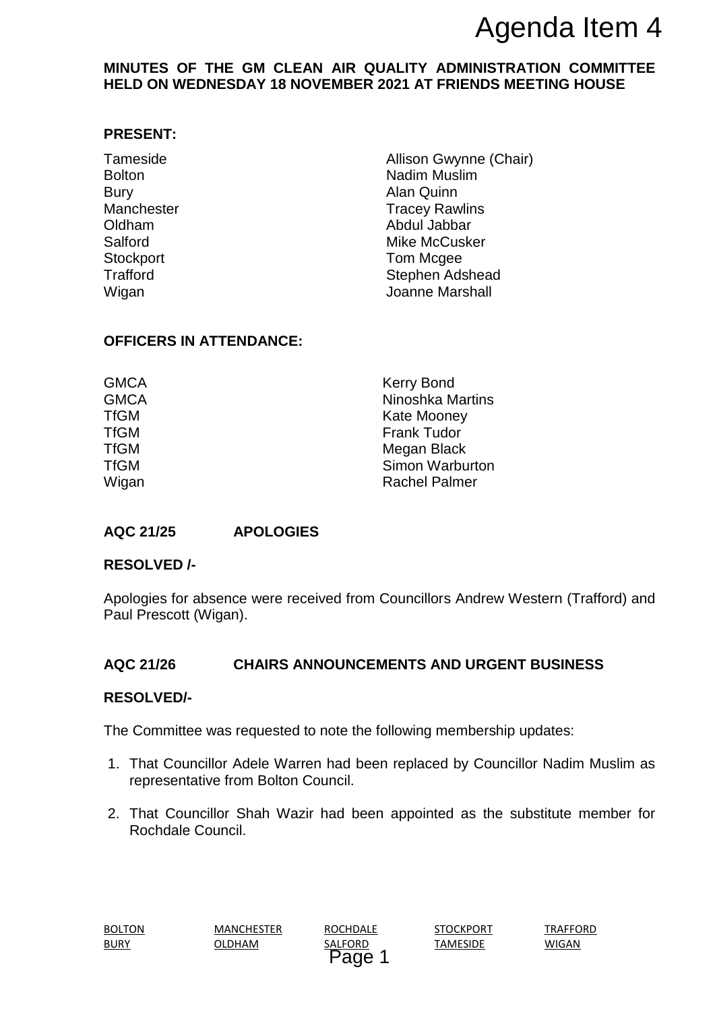#### **MINUTES OF THE GM CLEAN AIR QUALITY ADMINISTRATION COMMITTEE HELD ON WEDNESDAY 18 NOVEMBER 2021 AT FRIENDS MEETING HOUSE**

#### **PRESENT:**

Bury **Alan Quinn** Stockport **Tom Mcgee** 

Tameside **Allison Gwynne (Chair)** Allison Gwynne (Chair) Bolton **Nadim Muslim** Manchester **Tracey Rawlins** Oldham Abdul Jabbar Salford Mike McCusker Trafford **Stephen Adshead** Wigan **Wigan** Joanne Marshall **Agenda Item 4**<br> **Agenda Item 4**<br> **EMBER 2021 AT FRIENDS MEETING HOUSE**<br>
Madin Muslim<br>
Nain Quinn<br>
Madin Muslim<br>
Alan Quinn<br>
Alan Quinn<br>
Alan Quinn<br>
Alan Quinn<br>
Madin Muslim<br>
Alan Quinn<br>
Mike McCusker<br>
Stephen Adshead<br>
Joa

#### **OFFICERS IN ATTENDANCE:**

| <b>Kerry Bond</b><br><b>Ninoshka Martins</b> |  |  |
|----------------------------------------------|--|--|
| <b>Kate Mooney</b>                           |  |  |
| <b>Frank Tudor</b>                           |  |  |
| Megan Black                                  |  |  |
| Simon Warburton                              |  |  |
| <b>Rachel Palmer</b>                         |  |  |
|                                              |  |  |

### **AQC 21/25 APOLOGIES**

#### **RESOLVED /-**

Apologies for absence were received from Councillors Andrew Western (Trafford) and Paul Prescott (Wigan).

#### **AQC 21/26 CHAIRS ANNOUNCEMENTS AND URGENT BUSINESS**

#### **RESOLVED/-**

The Committee was requested to note the following membership updates:

- 1. That Councillor Adele Warren had been replaced by Councillor Nadim Muslim as representative from Bolton Council.
- 2. That Councillor Shah Wazir had been appointed as the substitute member for Rochdale Council.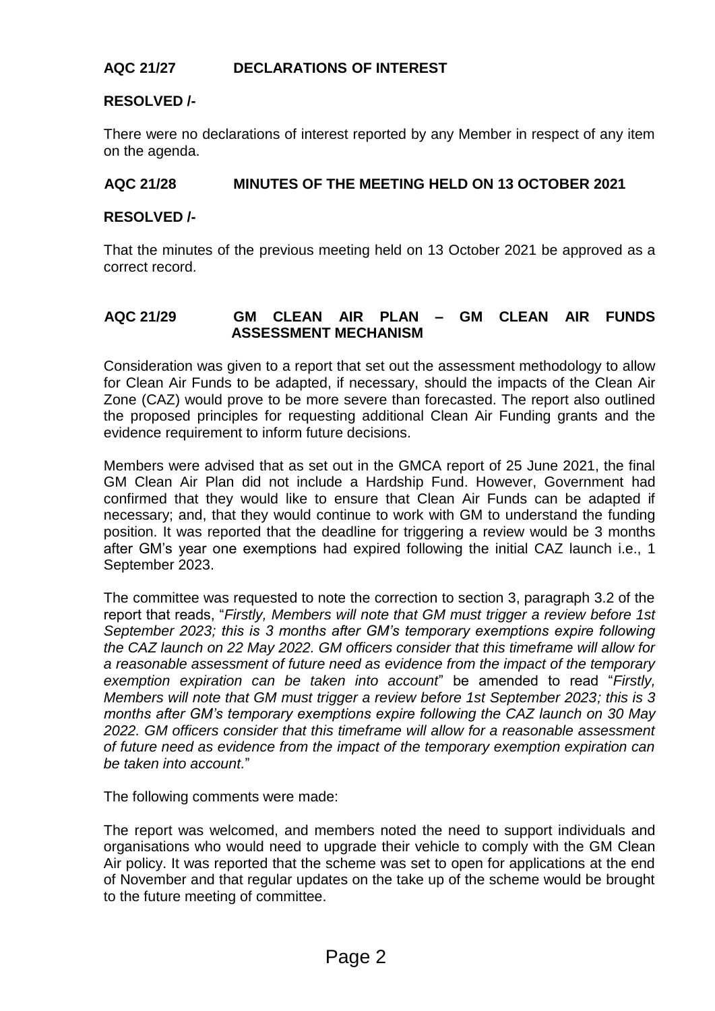#### **AQC 21/27 DECLARATIONS OF INTEREST**

#### **RESOLVED /-**

There were no declarations of interest reported by any Member in respect of any item on the agenda.

#### **AQC 21/28 MINUTES OF THE MEETING HELD ON 13 OCTOBER 2021**

#### **RESOLVED /-**

That the minutes of the previous meeting held on 13 October 2021 be approved as a correct record.

#### **AQC 21/29 GM CLEAN AIR PLAN – GM CLEAN AIR FUNDS ASSESSMENT MECHANISM**

Consideration was given to a report that set out the assessment methodology to allow for Clean Air Funds to be adapted, if necessary, should the impacts of the Clean Air Zone (CAZ) would prove to be more severe than forecasted. The report also outlined the proposed principles for requesting additional Clean Air Funding grants and the evidence requirement to inform future decisions.

Members were advised that as set out in the GMCA report of 25 June 2021, the final GM Clean Air Plan did not include a Hardship Fund. However, Government had confirmed that they would like to ensure that Clean Air Funds can be adapted if necessary; and, that they would continue to work with GM to understand the funding position. It was reported that the deadline for triggering a review would be 3 months after GM's year one exemptions had expired following the initial CAZ launch i.e., 1 September 2023.

The committee was requested to note the correction to section 3, paragraph 3.2 of the report that reads, "*Firstly, Members will note that GM must trigger a review before 1st September 2023; this is 3 months after GM's temporary exemptions expire following the CAZ launch on 22 May 2022. GM officers consider that this timeframe will allow for a reasonable assessment of future need as evidence from the impact of the temporary exemption expiration can be taken into account*" be amended to read "*Firstly, Members will note that GM must trigger a review before 1st September 2023; this is 3 months after GM's temporary exemptions expire following the CAZ launch on 30 May 2022. GM officers consider that this timeframe will allow for a reasonable assessment of future need as evidence from the impact of the temporary exemption expiration can be taken into account.*"

The following comments were made:

The report was welcomed, and members noted the need to support individuals and organisations who would need to upgrade their vehicle to comply with the GM Clean Air policy. It was reported that the scheme was set to open for applications at the end of November and that regular updates on the take up of the scheme would be brought to the future meeting of committee.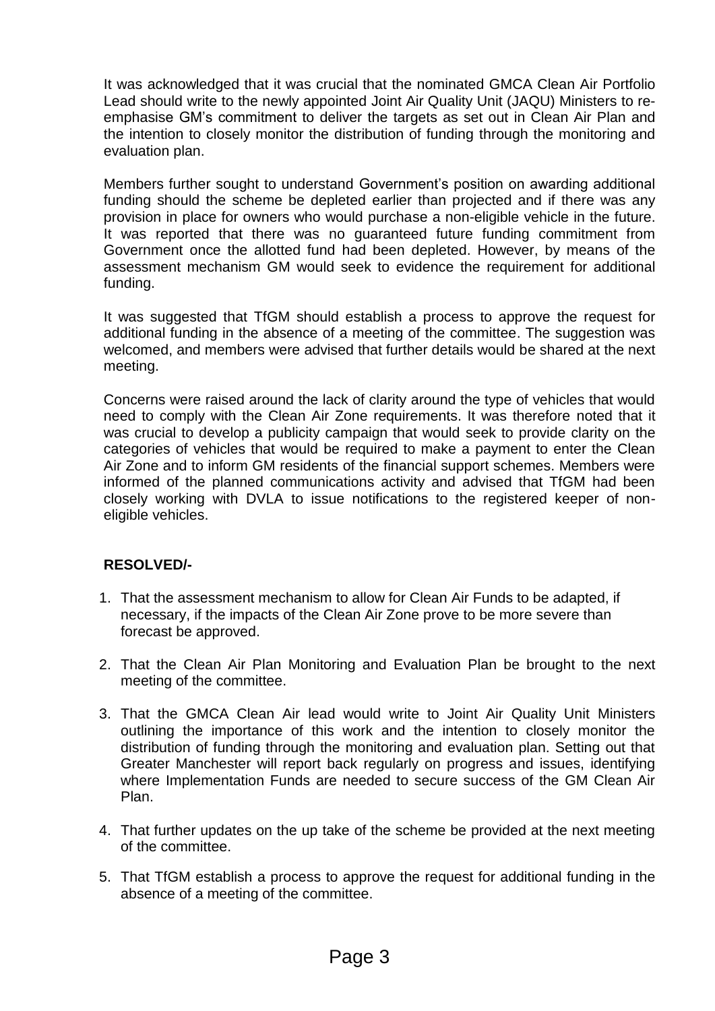It was acknowledged that it was crucial that the nominated GMCA Clean Air Portfolio Lead should write to the newly appointed Joint Air Quality Unit (JAQU) Ministers to reemphasise GM's commitment to deliver the targets as set out in Clean Air Plan and the intention to closely monitor the distribution of funding through the monitoring and evaluation plan.

Members further sought to understand Government's position on awarding additional funding should the scheme be depleted earlier than projected and if there was any provision in place for owners who would purchase a non-eligible vehicle in the future. It was reported that there was no guaranteed future funding commitment from Government once the allotted fund had been depleted. However, by means of the assessment mechanism GM would seek to evidence the requirement for additional funding.

It was suggested that TfGM should establish a process to approve the request for additional funding in the absence of a meeting of the committee. The suggestion was welcomed, and members were advised that further details would be shared at the next meeting.

Concerns were raised around the lack of clarity around the type of vehicles that would need to comply with the Clean Air Zone requirements. It was therefore noted that it was crucial to develop a publicity campaign that would seek to provide clarity on the categories of vehicles that would be required to make a payment to enter the Clean Air Zone and to inform GM residents of the financial support schemes. Members were informed of the planned communications activity and advised that TfGM had been closely working with DVLA to issue notifications to the registered keeper of noneligible vehicles.

#### **RESOLVED/-**

- 1. That the assessment mechanism to allow for Clean Air Funds to be adapted, if necessary, if the impacts of the Clean Air Zone prove to be more severe than forecast be approved.
- 2. That the Clean Air Plan Monitoring and Evaluation Plan be brought to the next meeting of the committee.
- 3. That the GMCA Clean Air lead would write to Joint Air Quality Unit Ministers outlining the importance of this work and the intention to closely monitor the distribution of funding through the monitoring and evaluation plan. Setting out that Greater Manchester will report back regularly on progress and issues, identifying where Implementation Funds are needed to secure success of the GM Clean Air Plan.
- 4. That further updates on the up take of the scheme be provided at the next meeting of the committee.
- 5. That TfGM establish a process to approve the request for additional funding in the absence of a meeting of the committee.